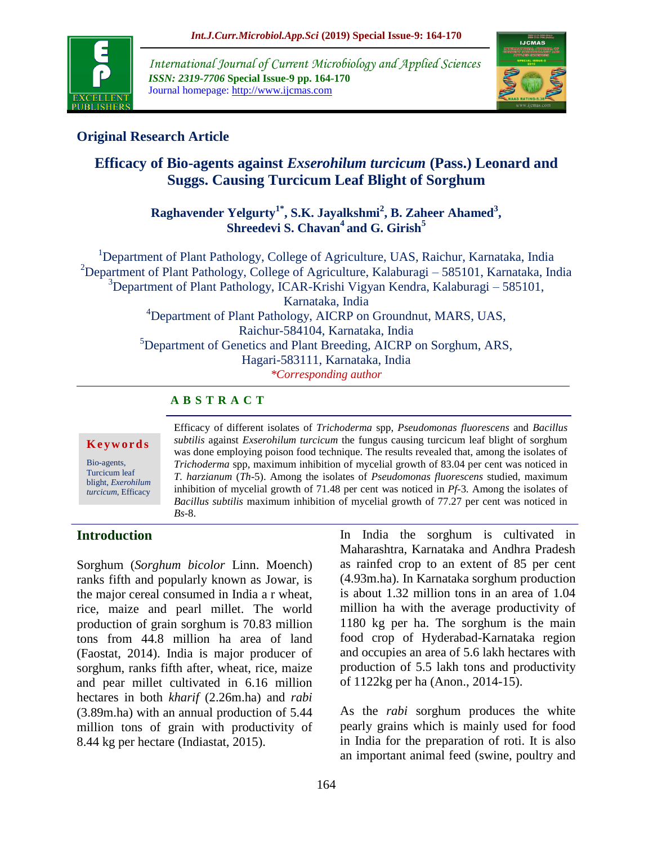

*International Journal of Current Microbiology and Applied Sciences ISSN: 2319-7706* **Special Issue-9 pp. 164-170** Journal homepage: http://www.ijcmas.com



## **Original Research Article**

# **Efficacy of Bio-agents against** *Exserohilum turcicum* **(Pass.) Leonard and Suggs. Causing Turcicum Leaf Blight of Sorghum**

**Raghavender Yelgurty1\* , S.K. Jayalkshmi<sup>2</sup> , B. Zaheer Ahamed<sup>3</sup> , Shreedevi S. Chavan<sup>4</sup>and G. Girish<sup>5</sup>**

<sup>1</sup>Department of Plant Pathology, College of Agriculture, UAS, Raichur, Karnataka, India <sup>2</sup>Department of Plant Pathology, College of Agriculture, Kalaburagi – 585101, Karnataka, India  $3$ Department of Plant Pathology, ICAR-Krishi Vigyan Kendra, Kalaburagi – 585101, Karnataka, India <sup>4</sup>Department of Plant Pathology, AICRP on Groundnut, MARS, UAS, Raichur-584104, Karnataka, India <sup>5</sup>Department of Genetics and Plant Breeding, AICRP on Sorghum, ARS, Hagari-583111, Karnataka, India *\*Corresponding author*

### **A B S T R A C T**

#### **K e y w o r d s**

Bio-agents, Turcicum leaf blight, *Exerohilum turcicum*, Efficacy

Efficacy of different isolates of *Trichoderma* spp, *Pseudomonas fluorescens* and *Bacillus subtilis* against *Exserohilum turcicum* the fungus causing turcicum leaf blight of sorghum was done employing poison food technique. The results revealed that, among the isolates of *Trichoderma* spp, maximum inhibition of mycelial growth of 83.04 per cent was noticed in *T. harzianum* (*Th*-5). Among the isolates of *Pseudomonas fluorescens* studied, maximum inhibition of mycelial growth of 71.48 per cent was noticed in *Pf-*3*.* Among the isolates of *Bacillus subtilis* maximum inhibition of mycelial growth of 77.27 per cent was noticed in *Bs*-8.

### **Introduction**

Sorghum (*Sorghum bicolor* Linn. Moench) ranks fifth and popularly known as Jowar*,* is the major cereal consumed in India a r wheat, rice, maize and pearl millet. The world production of grain sorghum is 70.83 million tons from 44.8 million ha area of land (Faostat, 2014). India is major producer of sorghum, ranks fifth after, wheat, rice, maize and pear millet cultivated in 6.16 million hectares in both *kharif* (2.26m.ha) and *rabi*  (3.89m.ha) with an annual production of 5.44 million tons of grain with productivity of 8.44 kg per hectare (Indiastat, 2015).

In India the sorghum is cultivated in Maharashtra, Karnataka and Andhra Pradesh as rainfed crop to an extent of 85 per cent (4.93m.ha). In Karnataka sorghum production is about 1.32 million tons in an area of 1.04 million ha with the average productivity of 1180 kg per ha. The sorghum is the main food crop of Hyderabad-Karnataka region and occupies an area of 5.6 lakh hectares with production of 5.5 lakh tons and productivity of 1122kg per ha (Anon., 2014-15).

As the *rabi* sorghum produces the white pearly grains which is mainly used for food in India for the preparation of roti. It is also an important animal feed (swine, poultry and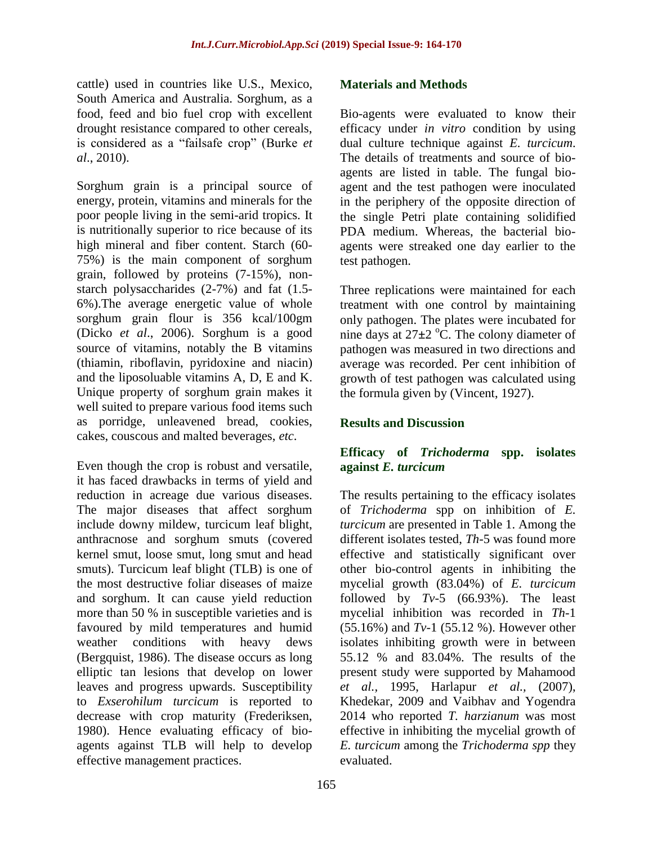cattle) used in countries like U.S., Mexico, South America and Australia. Sorghum, as a food, feed and bio fuel crop with excellent drought resistance compared to other cereals, is considered as a "failsafe crop" (Burke *et al*., 2010).

Sorghum grain is a principal source of energy, protein, vitamins and minerals for the poor people living in the semi-arid tropics. It is nutritionally superior to rice because of its high mineral and fiber content. Starch (60- 75%) is the main component of sorghum grain, followed by proteins (7-15%), nonstarch polysaccharides (2-7%) and fat (1.5- 6%).The average energetic value of whole sorghum grain flour is 356 kcal/100gm (Dicko *et al*., 2006). Sorghum is a good source of vitamins, notably the B vitamins (thiamin, riboflavin, pyridoxine and niacin) and the liposoluable vitamins A, D, E and K. Unique property of sorghum grain makes it well suited to prepare various food items such as porridge, unleavened bread, cookies, cakes, couscous and malted beverages, *etc*.

Even though the crop is robust and versatile, it has faced drawbacks in terms of yield and reduction in acreage due various diseases. The major diseases that affect sorghum include downy mildew, turcicum leaf blight, anthracnose and sorghum smuts (covered kernel smut, loose smut, long smut and head smuts). Turcicum leaf blight (TLB) is one of the most destructive foliar diseases of maize and sorghum. It can cause yield reduction more than 50 % in susceptible varieties and is favoured by mild temperatures and humid weather conditions with heavy dews (Bergquist, 1986). The disease occurs as long elliptic tan lesions that develop on lower leaves and progress upwards. Susceptibility to *Exserohilum turcicum* is reported to decrease with crop maturity (Frederiksen, 1980). Hence evaluating efficacy of bioagents against TLB will help to develop effective management practices.

### **Materials and Methods**

Bio-agents were evaluated to know their efficacy under *in vitro* condition by using dual culture technique against *E. turcicum*. The details of treatments and source of bioagents are listed in table. The fungal bioagent and the test pathogen were inoculated in the periphery of the opposite direction of the single Petri plate containing solidified PDA medium. Whereas, the bacterial bioagents were streaked one day earlier to the test pathogen.

Three replications were maintained for each treatment with one control by maintaining only pathogen. The plates were incubated for nine days at  $27\pm2$  <sup>o</sup>C. The colony diameter of pathogen was measured in two directions and average was recorded. Per cent inhibition of growth of test pathogen was calculated using the formula given by (Vincent, 1927).

### **Results and Discussion**

### **Efficacy of** *Trichoderma* **spp. isolates against** *E. turcicum*

The results pertaining to the efficacy isolates of *Trichoderma* spp on inhibition of *E. turcicum* are presented in Table 1. Among the different isolates tested, *Th*-5 was found more effective and statistically significant over other bio-control agents in inhibiting the mycelial growth (83.04%) of *E. turcicum*  followed by *Tv-*5 (66.93%). The least mycelial inhibition was recorded in *Th*-1 (55.16%) and *Tv-*1 (55.12 %). However other isolates inhibiting growth were in between 55.12 % and 83.04%. The results of the present study were supported by Mahamood *et al.,* 1995, Harlapur *et al.,* (2007), Khedekar, 2009 and Vaibhav and Yogendra 2014 who reported *T. harzianum* was most effective in inhibiting the mycelial growth of *E. turcicum* among the *Trichoderma spp* they evaluated.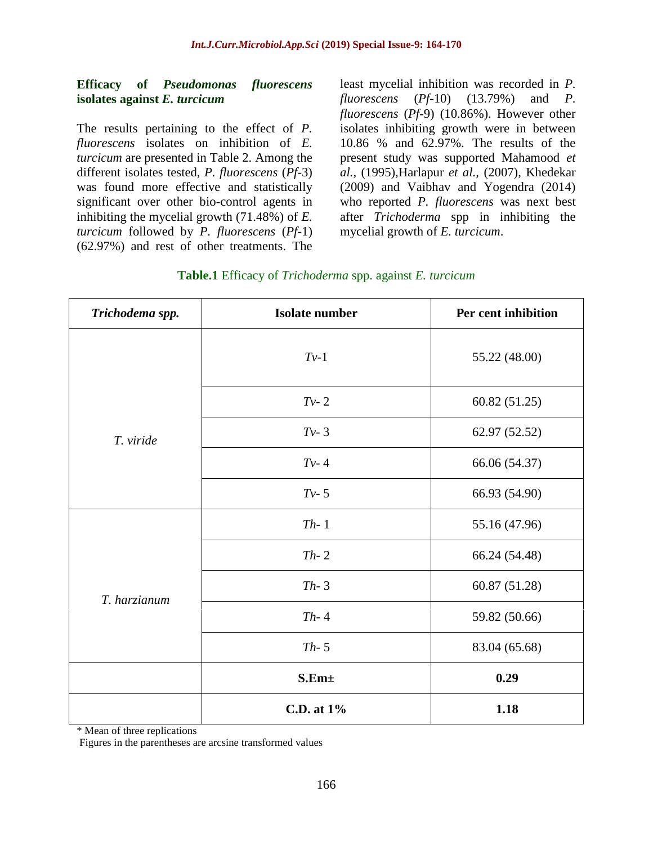#### **Efficacy of** *Pseudomonas fluorescens*  **isolates against** *E. turcicum*

The results pertaining to the effect of *P. fluorescens* isolates on inhibition of *E. turcicum* are presented in Table 2. Among the different isolates tested, *P. fluorescens* (*Pf-*3) was found more effective and statistically significant over other bio-control agents in inhibiting the mycelial growth (71.48%) of *E. turcicum* followed by *P. fluorescens* (*Pf-*1) (62.97%) and rest of other treatments. The

least mycelial inhibition was recorded in *P. fluorescens* (*Pf-*10) (13.79%) and *P. fluorescens* (*Pf-*9) (10.86%). However other isolates inhibiting growth were in between 10.86 % and 62.97%. The results of the present study was supported Mahamood *et al.,* (1995),Harlapur *et al.,* (2007), Khedekar (2009) and Vaibhav and Yogendra (2014) who reported *P. fluorescens* was next best after *Trichoderma* spp in inhibiting the mycelial growth of *E. turcicum*.

|  | Table.1 Efficacy of Trichoderma spp. against E. turcicum |  |
|--|----------------------------------------------------------|--|
|--|----------------------------------------------------------|--|

| Trichodema spp. | <b>Isolate number</b> | Per cent inhibition |  |
|-----------------|-----------------------|---------------------|--|
|                 | $Tv-1$                | 55.22 (48.00)       |  |
|                 | $Tv-2$                | 60.82 (51.25)       |  |
| T. viride       | $Tv-3$                | 62.97 (52.52)       |  |
|                 | $Tv-4$                | 66.06 (54.37)       |  |
|                 | $Tv-5$                | 66.93 (54.90)       |  |
| T. harzianum    | $Th-1$                | 55.16 (47.96)       |  |
|                 | $Th-2$                | 66.24 (54.48)       |  |
|                 | $Th-3$                | 60.87 (51.28)       |  |
|                 | $Th-4$                | 59.82 (50.66)       |  |
|                 | $Th-5$                | 83.04 (65.68)       |  |
|                 | S.Em <sub>±</sub>     | 0.29                |  |
|                 | C.D. at 1%            | 1.18                |  |

\* Mean of three replications

Figures in the parentheses are arcsine transformed values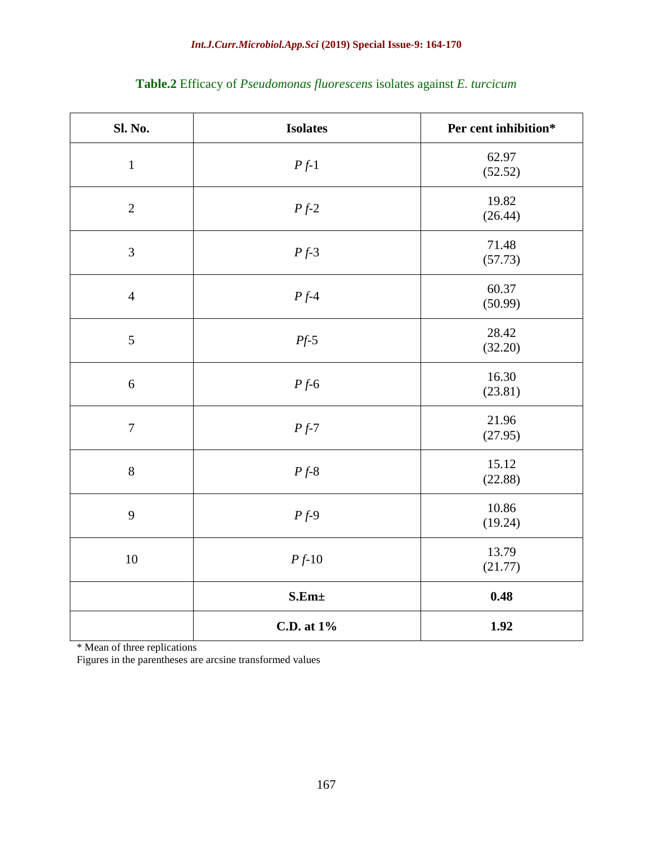| Sl. No.        | <b>Isolates</b>     | Per cent inhibition* |  |
|----------------|---------------------|----------------------|--|
| $\mathbf{1}$   | $Pf-1$              | 62.97<br>(52.52)     |  |
| $\overline{2}$ | $\cal{P}f\text{-}2$ | 19.82<br>(26.44)     |  |
| 3              | $Pf-3$              | 71.48<br>(57.73)     |  |
| $\overline{4}$ | $Pf-4$              | 60.37<br>(50.99)     |  |
| 5              | $Pf-5$              | 28.42<br>(32.20)     |  |
| 6              | $Pf-6$              | 16.30<br>(23.81)     |  |
| $\overline{7}$ | $Pf-7$              | 21.96<br>(27.95)     |  |
| 8              | $Pf-8$              | 15.12<br>(22.88)     |  |
| 9              | $Pf-9$              | 10.86<br>(19.24)     |  |
| 10             | $Pf-10$             | 13.79<br>(21.77)     |  |
|                | S.Em±               | 0.48                 |  |
|                | C.D. at 1%          | 1.92                 |  |

## **Table.2** Efficacy of *Pseudomonas fluorescens* isolates against *E. turcicum*

\* Mean of three replications

Figures in the parentheses are arcsine transformed values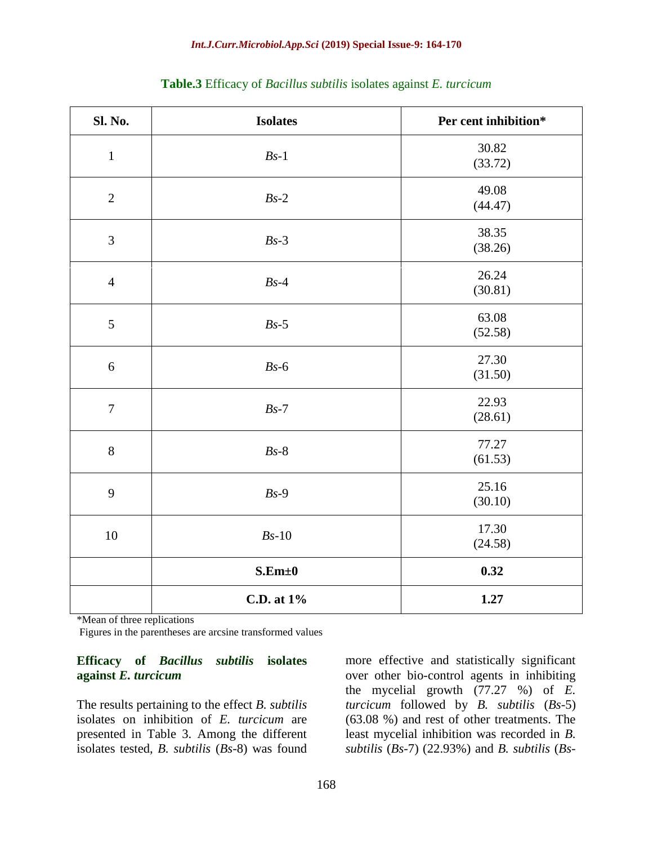| Sl. No.          | <b>Isolates</b> | Per cent inhibition* |  |  |
|------------------|-----------------|----------------------|--|--|
| $\mathbf{1}$     | $Bs-1$          | 30.82<br>(33.72)     |  |  |
| $\mathbf{2}$     | $Bs-2$          | 49.08<br>(44.47)     |  |  |
| $\mathfrak{Z}$   | $Bs-3$          | 38.35<br>(38.26)     |  |  |
| $\overline{4}$   | $Bs-4$          | 26.24<br>(30.81)     |  |  |
| $\sqrt{5}$       | $Bs-5$          | 63.08<br>(52.58)     |  |  |
| $\sqrt{6}$       | $Bs-6$          | 27.30<br>(31.50)     |  |  |
| $\boldsymbol{7}$ | $Bs-7$          | 22.93<br>(28.61)     |  |  |
| $8\,$            | $Bs-8$          | 77.27<br>(61.53)     |  |  |
| 9                | $Bs-9$          | 25.16<br>(30.10)     |  |  |
| $10\,$           | $Bs-10$         | 17.30<br>(24.58)     |  |  |
|                  | S.Em±0          | 0.32                 |  |  |
|                  | C.D. at 1%      | 1.27                 |  |  |

|  | Table.3 Efficacy of Bacillus subtilis isolates against E. turcicum |  |  |
|--|--------------------------------------------------------------------|--|--|
|  |                                                                    |  |  |

\*Mean of three replications

Figures in the parentheses are arcsine transformed values

#### **Efficacy of** *Bacillus subtilis* **isolates against** *E. turcicum*

The results pertaining to the effect *B. subtilis* isolates on inhibition of *E. turcicum* are presented in Table 3. Among the different isolates tested, *B. subtilis* (*Bs*-8) was found

more effective and statistically significant over other bio-control agents in inhibiting the mycelial growth (77.27 %) of *E. turcicum* followed by *B. subtilis* (*Bs*-5) (63.08 %) and rest of other treatments. The least mycelial inhibition was recorded in *B. subtilis* (*Bs*-7) (22.93%) and *B. subtilis* (*Bs*-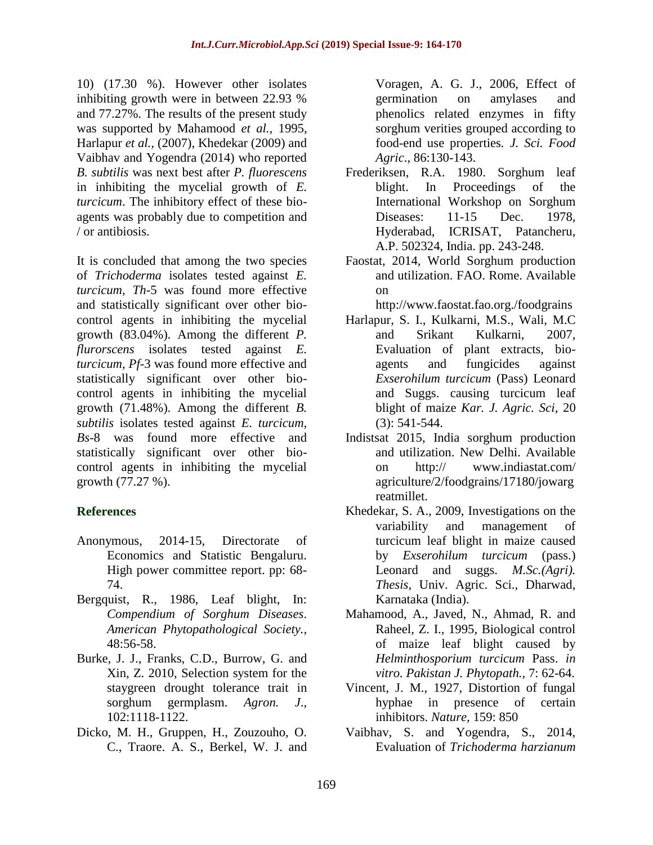10) (17.30 %). However other isolates inhibiting growth were in between 22.93 % and 77.27%. The results of the present study was supported by Mahamood *et al.,* 1995, Harlapur *et al.,* (2007), Khedekar (2009) and Vaibhav and Yogendra (2014) who reported *B. subtilis* was next best after *P. fluorescens* in inhibiting the mycelial growth of *E. turcicum*. The inhibitory effect of these bioagents was probably due to competition and / or antibiosis.

It is concluded that among the two species of *Trichoderma* isolates tested against *E. turcicum, Th*-5 was found more effective and statistically significant over other biocontrol agents in inhibiting the mycelial growth (83.04%). Among the different *P. flurorscens* isolates tested against *E. turcicum, Pf-*3 was found more effective and statistically significant over other biocontrol agents in inhibiting the mycelial growth (71.48%). Among the different *B. subtilis* isolates tested against *E. turcicum, Bs*-8 was found more effective and statistically significant over other biocontrol agents in inhibiting the mycelial growth (77.27 %).

### **References**

- Anonymous, 2014-15, Directorate of Economics and Statistic Bengaluru. High power committee report. pp: 68- 74.
- Bergquist, R., 1986, Leaf blight, In: *Compendium of Sorghum Diseases*. *American Phytopathological Society.,*  48:56-58.
- Burke, J. J., Franks, C.D., Burrow, G. and Xin, Z. 2010, Selection system for the staygreen drought tolerance trait in sorghum germplasm. *Agron. J*., 102:1118-1122.
- Dicko, M. H., Gruppen, H., Zouzouho, O. C., Traore. A. S., Berkel, W. J. and

Voragen, A. G. J., 2006, Effect of germination on amylases and phenolics related enzymes in fifty sorghum verities grouped according to food-end use properties*. J. Sci. Food Agric*., 86:130-143.

- Frederiksen, R.A. 1980. Sorghum leaf blight. In Proceedings of the International Workshop on Sorghum Diseases: 11-15 Dec. 1978, Hyderabad, ICRISAT, Patancheru, A.P. 502324, India. pp. 243-248.
- Faostat, 2014, World Sorghum production and utilization. FAO. Rome. Available on

http://www.faostat.fao.org./foodgrains

- Harlapur, S. I., Kulkarni, M.S., Wali, M.C and Srikant Kulkarni, 2007, Evaluation of plant extracts, bioagents and fungicides against *Exserohilum turcicum* (Pass) Leonard and Suggs. causing turcicum leaf blight of maize *Kar. J. Agric. Sci*, 20 (3): 541-544.
- Indistsat 2015, India sorghum production and utilization. New Delhi. Available on http:// www.indiastat.com/ agriculture/2/foodgrains/17180/jowarg reatmillet.
- Khedekar, S. A., 2009, Investigations on the variability and management of turcicum leaf blight in maize caused by *Exserohilum turcicum* (pass.) Leonard and suggs. *M.Sc.(Agri). Thesis*, Univ. Agric. Sci., Dharwad, Karnataka (India).
- Mahamood, A., Javed, N., Ahmad, R. and Raheel, Z. I., 1995, Biological control of maize leaf blight caused by *Helminthosporium turcicum* Pass. *in vitro. Pakistan J. Phytopath.,* 7: 62-64.
- Vincent, J. M., 1927, Distortion of fungal hyphae in presence of certain inhibitors. *Nature,* 159: 850
- Vaibhav, S. and Yogendra, S., 2014, Evaluation of *Trichoderma harzianum*